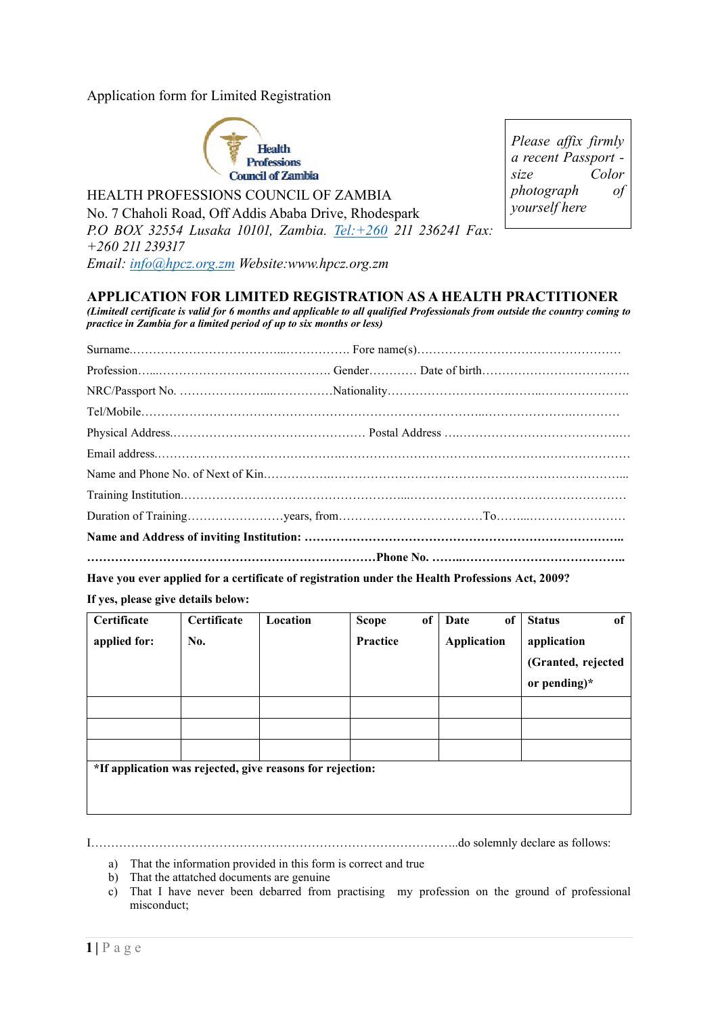Application form for Limited Registration



HEALTH PROFESSIONS COUNCIL OF ZAMBIA

No. 7 Chaholi Road, Off Addis Ababa Drive, Rhodespark *P.O BOX 32554 Lusaka 10101, Zambia. [Tel:+260](tel:+260) 211 236241 Fax: +260 211 239317 Email: [info@hpcz.org.zm](mailto:info@hpcz.org.zm) Website:www.hpcz.org.zm*

*Please affix firmly a recent Passport size Color photograph of yourself here*

## **APPLICATION FOR LIMITED REGISTRATION AS A HEALTH PRACTITIONER**

*(Limitedl certificate is valid for 6 months and applicable to all qualified Professionals from outside the country coming to practice in Zambia for a limited period of up to six months or less)*

**Have you ever applied for a certificate of registration under the Health Professions Act, 2009?** 

**If yes, please give details below:**

| Certificate                                               | Certificate | Location | <b>Scope</b> | of | Date               | of | <b>Status</b>      | of |
|-----------------------------------------------------------|-------------|----------|--------------|----|--------------------|----|--------------------|----|
| applied for:                                              | No.         |          | Practice     |    | <b>Application</b> |    | application        |    |
|                                                           |             |          |              |    |                    |    | (Granted, rejected |    |
|                                                           |             |          |              |    |                    |    | or pending) $*$    |    |
|                                                           |             |          |              |    |                    |    |                    |    |
|                                                           |             |          |              |    |                    |    |                    |    |
|                                                           |             |          |              |    |                    |    |                    |    |
| *If application was rejected, give reasons for rejection: |             |          |              |    |                    |    |                    |    |
|                                                           |             |          |              |    |                    |    |                    |    |
|                                                           |             |          |              |    |                    |    |                    |    |

I………………………………………………………………………………..do solemnly declare as follows:

- a) That the information provided in this form is correct and true
- b) That the attatched documents are genuine
- c) That I have never been debarred from practising my profession on the ground of professional misconduct;